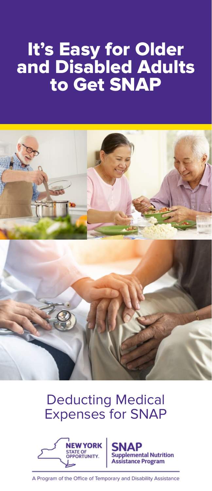## It's Easy for Older and Disabled Adults to Get SNAP



### Deducting Medical Expenses for SNAP



nental Nutrition stance Program

A Program of the Office of Temporary and Disability Assistance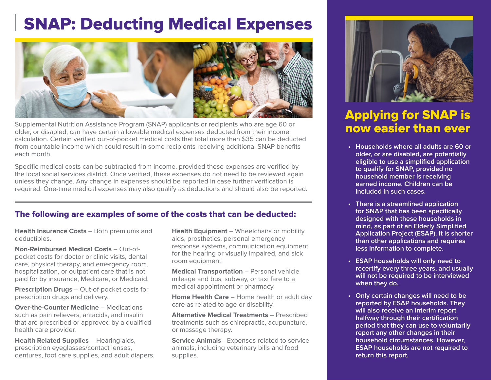# SNAP: Deducting Medical Expenses



Supplemental Nutrition Assistance Program (SNAP) applicants or recipients who are age 60 or older, or disabled, can have certain allowable medical expenses deducted from their income calculation. Certain verified out-of-pocket medical costs that total more than \$35 can be deducted from countable income which could result in some recipients receiving additional SNAP benefits each month.

Specific medical costs can be subtracted from income, provided these expenses are verified by the local social services district. Once verified, these expenses do not need to be reviewed again unless they change. Any change in expenses should be reported in case further verification is required. One-time medical expenses may also qualify as deductions and should also be reported.

#### The following are examples of some of the costs that can be deducted:

**Health Insurance Costs** – Both premiums and deductibles.

**Non-Reimbursed Medical Costs** – Out-ofpocket costs for doctor or clinic visits, dental care, physical therapy, and emergency room, hospitalization, or outpatient care that is not paid for by insurance, Medicare, or Medicaid.

**Prescription Drugs** – Out-of-pocket costs for prescription drugs and delivery.

**Over-the-Counter Medicine** – Medications such as pain relievers, antacids, and insulin that are prescribed or approved by a qualified health care provider.

**Health Related Supplies** – Hearing aids, prescription eyeglasses/contact lenses, dentures, foot care supplies, and adult diapers. **Health Equipment** – Wheelchairs or mobility aids, prosthetics, personal emergency response systems, communication equipment for the hearing or visually impaired, and sick room equipment.

**Medical Transportation** – Personal vehicle mileage and bus, subway, or taxi fare to a medical appointment or pharmacy.

**Home Health Care** – Home health or adult day care as related to age or disability.

**Alternative Medical Treatments** – Prescribed treatments such as chiropractic, acupuncture, or massage therapy.

**Service Animals**– Expenses related to service animals, including veterinary bills and food supplies.



### Applying for SNAP is now easier than ever

- **• Households where all adults are 60 or older, or are disabled, are potentially eligible to use a simplified application to qualify for SNAP, provided no household member is receiving earned income. Children can be included in such cases.**
- **• There is a streamlined application for SNAP that has been specifically designed with these households in mind, as part of an Elderly Simplified Application Project (ESAP). It is shorter than other applications and requires less information to complete.**
- **• ESAP households will only need to recertify every three years, and usually will not be required to be interviewed when they do.**
- **• Only certain changes will need to be reported by ESAP households. They will also receive an interim report halfway through their certification period that they can use to voluntarily report any other changes in their household circumstances. However, ESAP households are not required to return this report.**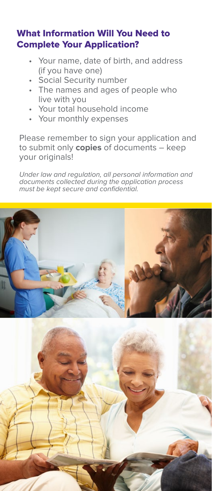#### What Information Will You Need to Complete Your Application?

- Your name, date of birth, and address (if you have one)
- Social Security number
- The names and ages of people who live with you
- Your total household income
- Your monthly expenses

Please remember to sign your application and to submit only **copies** of documents – keep your originals!

Under law and regulation, all personal information and documents collected during the application process must be kept secure and confidential.